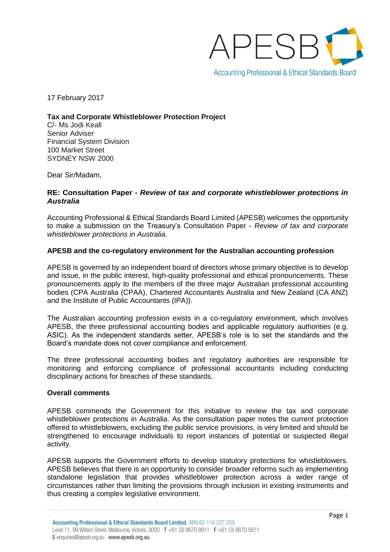

17 February 2017

**Tax and Corporate Whistleblower Protection Project**

C/- Ms Jodi Keall Senior Adviser Financial System Division 100 Market Street SYDNEY NSW 2000

Dear Sir/Madam,

# **RE: Consultation Paper -** *Review of tax and corporate whistleblower protections in Australia*

Accounting Professional & Ethical Standards Board Limited (APESB) welcomes the opportunity to make a submission on the Treasury's Consultation Paper - *Review of tax and corporate whistleblower protections in Australia*.

# **APESB and the co-regulatory environment for the Australian accounting profession**

APESB is governed by an independent board of directors whose primary objective is to develop and issue, in the public interest, high-quality professional and ethical pronouncements. These pronouncements apply to the members of the three major Australian professional accounting bodies (CPA Australia (CPAA), Chartered Accountants Australia and New Zealand (CA ANZ) and the Institute of Public Accountants (IPA)).

The Australian accounting profession exists in a co-regulatory environment, which involves APESB, the three professional accounting bodies and applicable regulatory authorities (e.g. ASIC). As the independent standards setter, APESB's role is to set the standards and the Board's mandate does not cover compliance and enforcement.

The three professional accounting bodies and regulatory authorities are responsible for monitoring and enforcing compliance of professional accountants including conducting disciplinary actions for breaches of these standards.

### **Overall comments**

APESB commends the Government for this initiative to review the tax and corporate whistleblower protections in Australia. As the consultation paper notes the current protection offered to whistleblowers, excluding the public service provisions, is very limited and should be strengthened to encourage individuals to report instances of potential or suspected illegal activity.

APESB supports the Government efforts to develop statutory protections for whistleblowers. APESB believes that there is an opportunity to consider broader reforms such as implementing standalone legislation that provides whistleblower protection across a wider range of circumstances rather than limiting the provisions through inclusion in existing instruments and thus creating a complex legislative environment.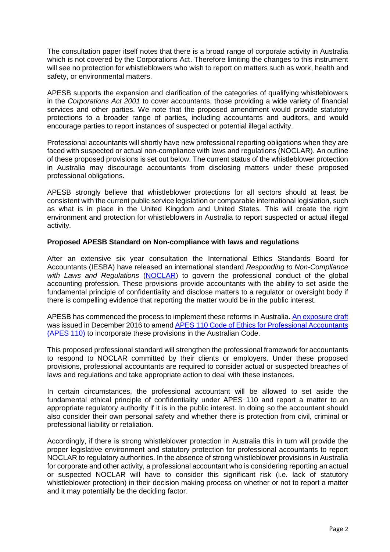The consultation paper itself notes that there is a broad range of corporate activity in Australia which is not covered by the Corporations Act. Therefore limiting the changes to this instrument will see no protection for whistleblowers who wish to report on matters such as work, health and safety, or environmental matters.

APESB supports the expansion and clarification of the categories of qualifying whistleblowers in the *Corporations Act 2001* to cover accountants, those providing a wide variety of financial services and other parties. We note that the proposed amendment would provide statutory protections to a broader range of parties, including accountants and auditors, and would encourage parties to report instances of suspected or potential illegal activity.

Professional accountants will shortly have new professional reporting obligations when they are faced with suspected or actual non-compliance with laws and regulations (NOCLAR). An outline of these proposed provisions is set out below. The current status of the whistleblower protection in Australia may discourage accountants from disclosing matters under these proposed professional obligations.

APESB strongly believe that whistleblower protections for all sectors should at least be consistent with the current public service legislation or comparable international legislation, such as what is in place in the United Kingdom and United States. This will create the right environment and protection for whistleblowers in Australia to report suspected or actual illegal activity.

# **Proposed APESB Standard on Non-compliance with laws and regulations**

After an extensive six year consultation the International Ethics Standards Board for Accountants (IESBA) have released an international standard *Responding to Non-Compliance with Laws and Regulations* [\(NOCLAR\)](http://www.ifac.org/publications-resources/responding-non-compliance-laws-and-regulations) to govern the professional conduct of the global accounting profession. These provisions provide accountants with the ability to set aside the fundamental principle of confidentiality and disclose matters to a regulator or oversight body if there is compelling evidence that reporting the matter would be in the public interest.

APESB has commenced the process to implement these reforms in Australia. [An exposure draft](http://www.apesb.org.au/uploads/current_projects/explore_draft_open/30012017164037_APESB_ED_2_16_APES_110.pdf) was issued in December 2016 to amend [APES 110 Code of Ethics for Professional Accountants](http://www.apesb.org.au/uploads/standards/apesb_standards/compiledt2c1.pdf) [\(APES 110\)](http://www.apesb.org.au/uploads/standards/apesb_standards/compiledt2c1.pdf) to incorporate these provisions in the Australian Code.

This proposed professional standard will strengthen the professional framework for accountants to respond to NOCLAR committed by their clients or employers. Under these proposed provisions, professional accountants are required to consider actual or suspected breaches of laws and regulations and take appropriate action to deal with these instances.

In certain circumstances, the professional accountant will be allowed to set aside the fundamental ethical principle of confidentiality under APES 110 and report a matter to an appropriate regulatory authority if it is in the public interest. In doing so the accountant should also consider their own personal safety and whether there is protection from civil, criminal or professional liability or retaliation.

Accordingly, if there is strong whistleblower protection in Australia this in turn will provide the proper legislative environment and statutory protection for professional accountants to report NOCLAR to regulatory authorities. In the absence of strong whistleblower provisions in Australia for corporate and other activity, a professional accountant who is considering reporting an actual or suspected NOCLAR will have to consider this significant risk (i.e. lack of statutory whistleblower protection) in their decision making process on whether or not to report a matter and it may potentially be the deciding factor.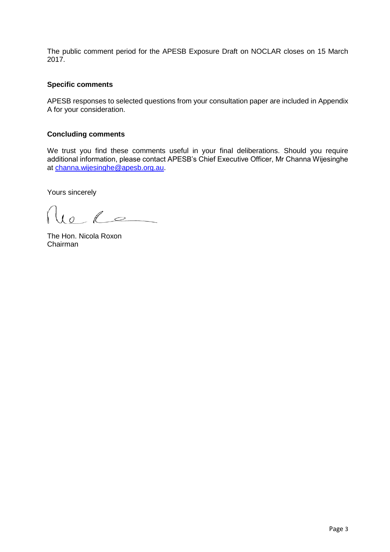The public comment period for the APESB Exposure Draft on NOCLAR closes on 15 March 2017.

# **Specific comments**

APESB responses to selected questions from your consultation paper are included in Appendix A for your consideration.

# **Concluding comments**

We trust you find these comments useful in your final deliberations. Should you require additional information, please contact APESB's Chief Executive Officer, Mr Channa Wijesinghe at [channa.wijesinghe@apesb.org.au.](mailto:channa.wijesinghe@apesb.org.au)

Yours sincerely

 $re$   $L$ 

The Hon. Nicola Roxon Chairman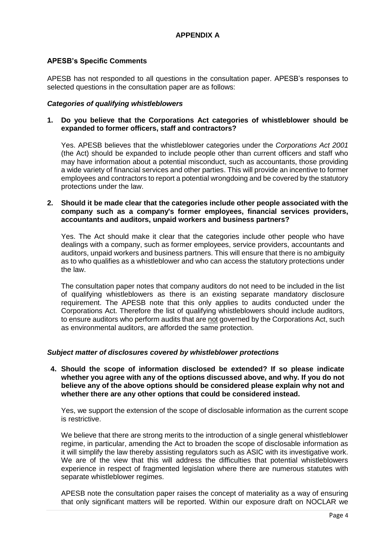# **APESB's Specific Comments**

APESB has not responded to all questions in the consultation paper. APESB's responses to selected questions in the consultation paper are as follows:

### *Categories of qualifying whistleblowers*

### **1. Do you believe that the Corporations Act categories of whistleblower should be expanded to former officers, staff and contractors?**

Yes. APESB believes that the whistleblower categories under the *Corporations Act 2001* (the Act) should be expanded to include people other than current officers and staff who may have information about a potential misconduct, such as accountants, those providing a wide variety of financial services and other parties. This will provide an incentive to former employees and contractors to report a potential wrongdoing and be covered by the statutory protections under the law.

# **2. Should it be made clear that the categories include other people associated with the company such as a company's former employees, financial services providers, accountants and auditors, unpaid workers and business partners?**

Yes. The Act should make it clear that the categories include other people who have dealings with a company, such as former employees, service providers, accountants and auditors, unpaid workers and business partners. This will ensure that there is no ambiguity as to who qualifies as a whistleblower and who can access the statutory protections under the law.

The consultation paper notes that company auditors do not need to be included in the list of qualifying whistleblowers as there is an existing separate mandatory disclosure requirement. The APESB note that this only applies to audits conducted under the Corporations Act. Therefore the list of qualifying whistleblowers should include auditors, to ensure auditors who perform audits that are not governed by the Corporations Act, such as environmental auditors, are afforded the same protection.

### *Subject matter of disclosures covered by whistleblower protections*

**4. Should the scope of information disclosed be extended? If so please indicate whether you agree with any of the options discussed above, and why. If you do not believe any of the above options should be considered please explain why not and whether there are any other options that could be considered instead.**

Yes, we support the extension of the scope of disclosable information as the current scope is restrictive.

We believe that there are strong merits to the introduction of a single general whistleblower regime, in particular, amending the Act to broaden the scope of disclosable information as it will simplify the law thereby assisting regulators such as ASIC with its investigative work. We are of the view that this will address the difficulties that potential whistleblowers experience in respect of fragmented legislation where there are numerous statutes with separate whistleblower regimes.

APESB note the consultation paper raises the concept of materiality as a way of ensuring that only significant matters will be reported. Within our exposure draft on NOCLAR we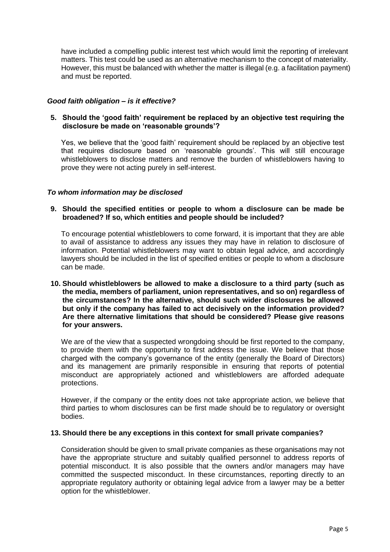have included a compelling public interest test which would limit the reporting of irrelevant matters. This test could be used as an alternative mechanism to the concept of materiality. However, this must be balanced with whether the matter is illegal (e.g. a facilitation payment) and must be reported.

# *Good faith obligation – is it effective?*

# **5. Should the 'good faith' requirement be replaced by an objective test requiring the disclosure be made on 'reasonable grounds'?**

Yes, we believe that the 'good faith' requirement should be replaced by an objective test that requires disclosure based on 'reasonable grounds'. This will still encourage whistleblowers to disclose matters and remove the burden of whistleblowers having to prove they were not acting purely in self-interest.

# *To whom information may be disclosed*

# **9. Should the specified entities or people to whom a disclosure can be made be broadened? If so, which entities and people should be included?**

To encourage potential whistleblowers to come forward, it is important that they are able to avail of assistance to address any issues they may have in relation to disclosure of information. Potential whistleblowers may want to obtain legal advice, and accordingly lawyers should be included in the list of specified entities or people to whom a disclosure can be made.

**10. Should whistleblowers be allowed to make a disclosure to a third party (such as the media, members of parliament, union representatives, and so on) regardless of the circumstances? In the alternative, should such wider disclosures be allowed but only if the company has failed to act decisively on the information provided? Are there alternative limitations that should be considered? Please give reasons for your answers.**

We are of the view that a suspected wrongdoing should be first reported to the company, to provide them with the opportunity to first address the issue. We believe that those charged with the company's governance of the entity (generally the Board of Directors) and its management are primarily responsible in ensuring that reports of potential misconduct are appropriately actioned and whistleblowers are afforded adequate protections.

However, if the company or the entity does not take appropriate action, we believe that third parties to whom disclosures can be first made should be to regulatory or oversight bodies.

### **13. Should there be any exceptions in this context for small private companies?**

Consideration should be given to small private companies as these organisations may not have the appropriate structure and suitably qualified personnel to address reports of potential misconduct. It is also possible that the owners and/or managers may have committed the suspected misconduct. In these circumstances, reporting directly to an appropriate regulatory authority or obtaining legal advice from a lawyer may be a better option for the whistleblower.